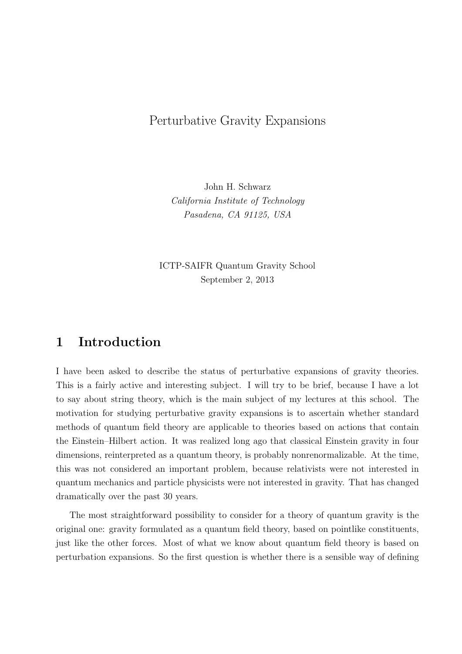# Perturbative Gravity Expansions

John H. Schwarz *California Institute of Technology Pasadena, CA 91125, USA*

ICTP-SAIFR Quantum Gravity School September 2, 2013

## **1 Introduction**

I have been asked to describe the status of perturbative expansions of gravity theories. This is a fairly active and interesting subject. I will try to be brief, because I have a lot to say about string theory, which is the main subject of my lectures at this school. The motivation for studying perturbative gravity expansions is to ascertain whether standard methods of quantum field theory are applicable to theories based on actions that contain the Einstein–Hilbert action. It was realized long ago that classical Einstein gravity in four dimensions, reinterpreted as a quantum theory, is probably nonrenormalizable. At the time, this was not considered an important problem, because relativists were not interested in quantum mechanics and particle physicists were not interested in gravity. That has changed dramatically over the past 30 years.

The most straightforward possibility to consider for a theory of quantum gravity is the original one: gravity formulated as a quantum field theory, based on pointlike constituents, just like the other forces. Most of what we know about quantum field theory is based on perturbation expansions. So the first question is whether there is a sensible way of defining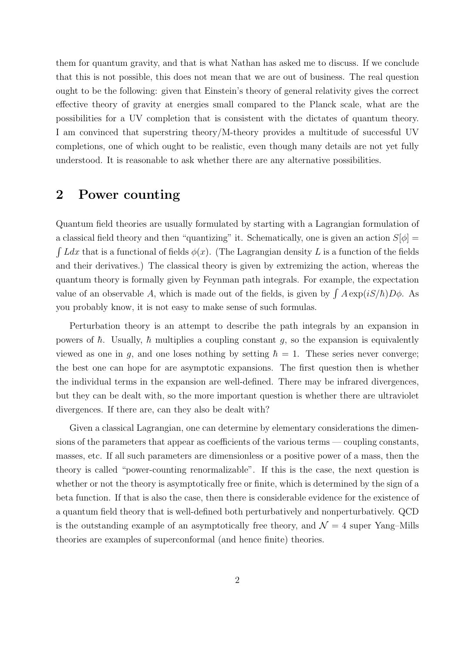them for quantum gravity, and that is what Nathan has asked me to discuss. If we conclude that this is not possible, this does not mean that we are out of business. The real question ought to be the following: given that Einstein's theory of general relativity gives the correct effective theory of gravity at energies small compared to the Planck scale, what are the possibilities for a UV completion that is consistent with the dictates of quantum theory. I am convinced that superstring theory/M-theory provides a multitude of successful UV completions, one of which ought to be realistic, even though many details are not yet fully understood. It is reasonable to ask whether there are any alternative possibilities.

### **2 Power counting**

Quantum field theories are usually formulated by starting with a Lagrangian formulation of a classical field theory and then "quantizing" it. Schematically, one is given an action  $S[\phi]$  =  $\int L dx$  that is a functional of fields  $\phi(x)$ . (The Lagrangian density L is a function of the fields and their derivatives.) The classical theory is given by extremizing the action, whereas the quantum theory is formally given by Feynman path integrals. For example, the expectation value of an observable A, which is made out of the fields, is given by  $\int A \exp(iS/\hbar) D\phi$ . As you probably know, it is not easy to make sense of such formulas.

Perturbation theory is an attempt to describe the path integrals by an expansion in powers of  $\hbar$ . Usually,  $\hbar$  multiplies a coupling constant  $g$ , so the expansion is equivalently viewed as one in *g*, and one loses nothing by setting  $\hbar = 1$ . These series never converge; the best one can hope for are asymptotic expansions. The first question then is whether the individual terms in the expansion are well-defined. There may be infrared divergences, but they can be dealt with, so the more important question is whether there are ultraviolet divergences. If there are, can they also be dealt with?

Given a classical Lagrangian, one can determine by elementary considerations the dimensions of the parameters that appear as coefficients of the various terms — coupling constants, masses, etc. If all such parameters are dimensionless or a positive power of a mass, then the theory is called "power-counting renormalizable". If this is the case, the next question is whether or not the theory is asymptotically free or finite, which is determined by the sign of a beta function. If that is also the case, then there is considerable evidence for the existence of a quantum field theory that is well-defined both perturbatively and nonperturbatively. QCD is the outstanding example of an asymptotically free theory, and  $\mathcal{N}=4$  super Yang–Mills theories are examples of superconformal (and hence finite) theories.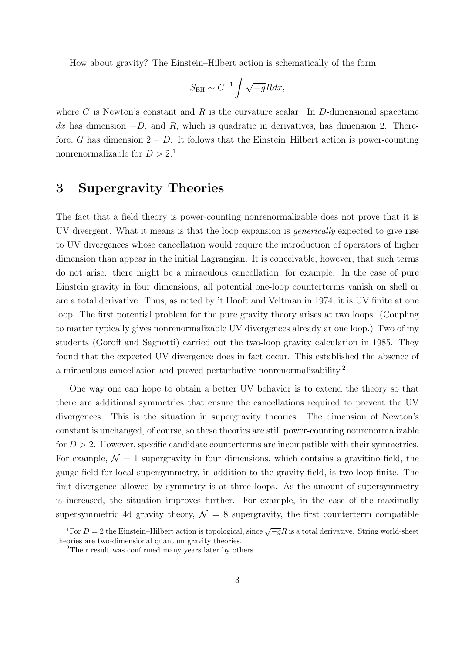How about gravity? The Einstein–Hilbert action is schematically of the form

$$
S_{\rm EH} \sim G^{-1} \int \sqrt{-g} R dx,
$$

where  $G$  is Newton's constant and  $R$  is the curvature scalar. In  $D$ -dimensional spacetime *dx* has dimension *−D*, and *R*, which is quadratic in derivatives, has dimension 2. Therefore, *G* has dimension  $2 - D$ . It follows that the Einstein–Hilbert action is power-counting nonrenormalizable for  $D > 2$ .<sup>1</sup>

# **3 Supergravity Theories**

The fact that a field theory is power-counting nonrenormalizable does not prove that it is UV divergent. What it means is that the loop expansion is *generically* expected to give rise to UV divergences whose cancellation would require the introduction of operators of higher dimension than appear in the initial Lagrangian. It is conceivable, however, that such terms do not arise: there might be a miraculous cancellation, for example. In the case of pure Einstein gravity in four dimensions, all potential one-loop counterterms vanish on shell or are a total derivative. Thus, as noted by 't Hooft and Veltman in 1974, it is UV finite at one loop. The first potential problem for the pure gravity theory arises at two loops. (Coupling to matter typically gives nonrenormalizable UV divergences already at one loop.) Two of my students (Goroff and Sagnotti) carried out the two-loop gravity calculation in 1985. They found that the expected UV divergence does in fact occur. This established the absence of a miraculous cancellation and proved perturbative nonrenormalizability.<sup>2</sup>

One way one can hope to obtain a better UV behavior is to extend the theory so that there are additional symmetries that ensure the cancellations required to prevent the UV divergences. This is the situation in supergravity theories. The dimension of Newton's constant is unchanged, of course, so these theories are still power-counting nonrenormalizable for *D >* 2. However, specific candidate counterterms are incompatible with their symmetries. For example,  $\mathcal{N}=1$  supergravity in four dimensions, which contains a gravitino field, the gauge field for local supersymmetry, in addition to the gravity field, is two-loop finite. The first divergence allowed by symmetry is at three loops. As the amount of supersymmetry is increased, the situation improves further. For example, in the case of the maximally supersymmetric 4d gravity theory,  $\mathcal{N} = 8$  supergravity, the first counterterm compatible

<sup>&</sup>lt;sup>1</sup>For  $D = 2$  the Einstein–Hilbert action is topological, since  $\sqrt{-g}R$  is a total derivative. String world-sheet theories are two-dimensional quantum gravity theories.

<sup>2</sup>Their result was confirmed many years later by others.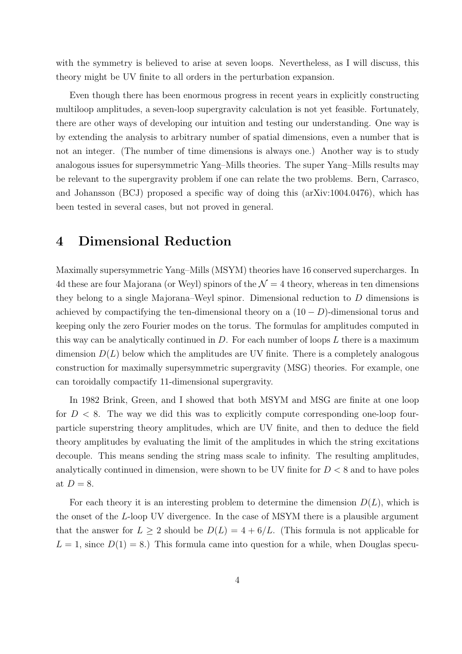with the symmetry is believed to arise at seven loops. Nevertheless, as I will discuss, this theory might be UV finite to all orders in the perturbation expansion.

Even though there has been enormous progress in recent years in explicitly constructing multiloop amplitudes, a seven-loop supergravity calculation is not yet feasible. Fortunately, there are other ways of developing our intuition and testing our understanding. One way is by extending the analysis to arbitrary number of spatial dimensions, even a number that is not an integer. (The number of time dimensions is always one.) Another way is to study analogous issues for supersymmetric Yang–Mills theories. The super Yang–Mills results may be relevant to the supergravity problem if one can relate the two problems. Bern, Carrasco, and Johansson (BCJ) proposed a specific way of doing this (arXiv:1004.0476), which has been tested in several cases, but not proved in general.

## **4 Dimensional Reduction**

Maximally supersymmetric Yang–Mills (MSYM) theories have 16 conserved supercharges. In 4d these are four Majorana (or Weyl) spinors of the  $\mathcal{N}=4$  theory, whereas in ten dimensions they belong to a single Majorana–Weyl spinor. Dimensional reduction to *D* dimensions is achieved by compactifying the ten-dimensional theory on a  $(10 – D)$ -dimensional torus and keeping only the zero Fourier modes on the torus. The formulas for amplitudes computed in this way can be analytically continued in *D*. For each number of loops *L* there is a maximum dimension  $D(L)$  below which the amplitudes are UV finite. There is a completely analogous construction for maximally supersymmetric supergravity (MSG) theories. For example, one can toroidally compactify 11-dimensional supergravity.

In 1982 Brink, Green, and I showed that both MSYM and MSG are finite at one loop for  $D < 8$ . The way we did this was to explicitly compute corresponding one-loop fourparticle superstring theory amplitudes, which are UV finite, and then to deduce the field theory amplitudes by evaluating the limit of the amplitudes in which the string excitations decouple. This means sending the string mass scale to infinity. The resulting amplitudes, analytically continued in dimension, were shown to be UV finite for *D <* 8 and to have poles at  $D=8$ .

For each theory it is an interesting problem to determine the dimension *D*(*L*), which is the onset of the *L*-loop UV divergence. In the case of MSYM there is a plausible argument that the answer for  $L > 2$  should be  $D(L) = 4 + 6/L$ . (This formula is not applicable for  $L = 1$ , since  $D(1) = 8$ .) This formula came into question for a while, when Douglas specu